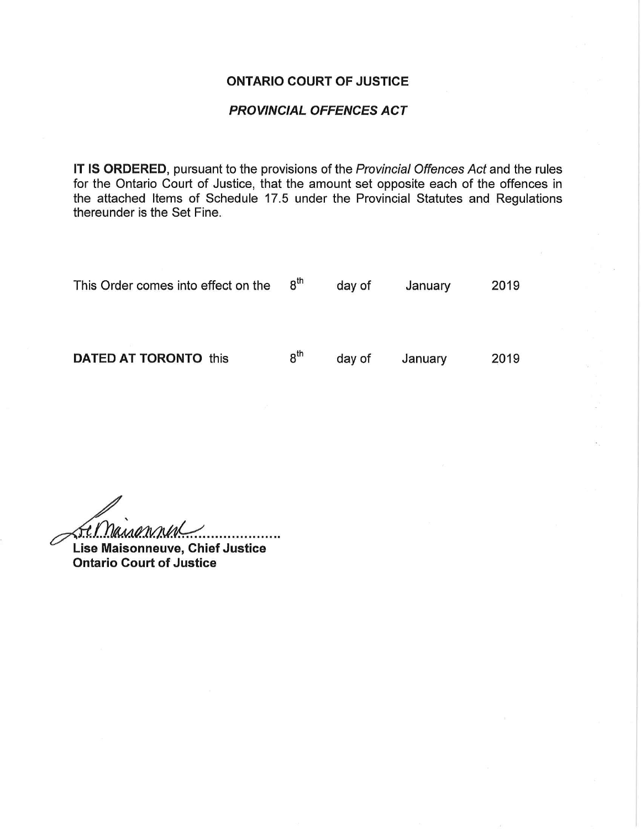### ONTARIO COURT OF JUSTICE

### PROVINCIAL OFFENCES ACT

IT IS ORDERED, pursuant to the provisions of the Provincial Offences Act and the rules for the Ontario Court of Justice, that the amount set opposite each of the offences in the attached Items of Schedule 17.5 under the Provincial Statutes and Regulations thereunder is the Set Fine.

This Order comes into effect on the  $8<sup>th</sup>$  day of January 2019

**DATED AT TORONTO** this  $8^{th}$  day of January 2019

 $I$ Manonnin Lise Maisonneuve, Chief Justice

Ontario Court of Justice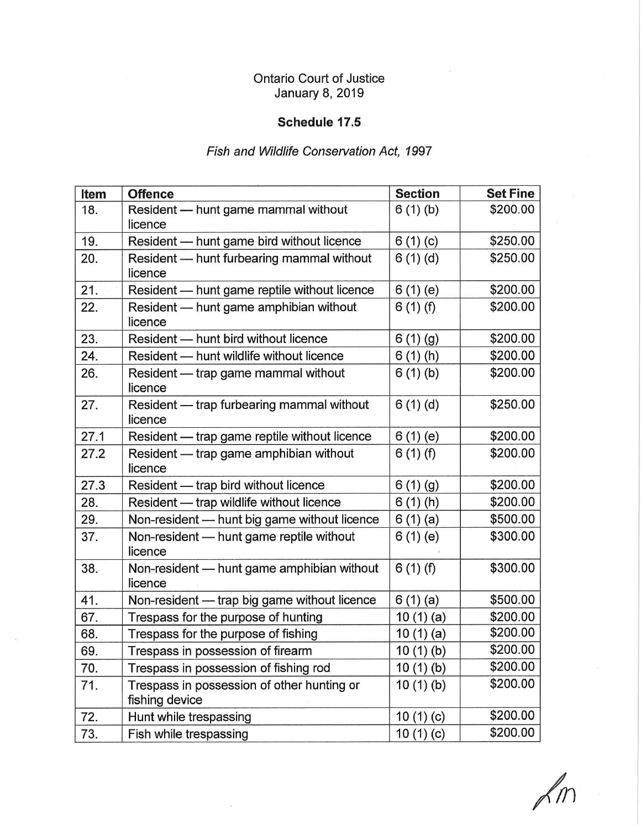## Ontario Court of Justice January 8, 2019

### Schedule 17.5

# Fish and Wildlife Conservation Act, 1997

| Item | <b>Offence</b>                                               | <b>Section</b>    | <b>Set Fine</b> |
|------|--------------------------------------------------------------|-------------------|-----------------|
| 18.  | Resident - hunt game mammal without<br>licence               | 6(1)(b)           | \$200.00        |
| 19.  | Resident - hunt game bird without licence                    | 6(1)(c)           | \$250.00        |
| 20.  | Resident - hunt furbearing mammal without<br>licence         | 6(1)(d)           | \$250.00        |
| 21.  | Resident - hunt game reptile without licence                 | 6(1)(e)           | \$200.00        |
| 22.  | Resident - hunt game amphibian without<br>licence            | 6(1)(f)           | \$200.00        |
| 23.  | Resident - hunt bird without licence                         | 6(1)(g)           | \$200.00        |
| 24.  | Resident - hunt wildlife without licence                     | 6(1)(h)           | \$200.00        |
| 26.  | Resident — trap game mammal without<br>licence               | 6(1)(b)           | \$200.00        |
| 27.  | Resident - trap furbearing mammal without<br>licence         | 6(1)(d)           | \$250.00        |
| 27.1 | Resident - trap game reptile without licence                 | 6(1)(e)           | \$200.00        |
| 27.2 | Resident - trap game amphibian without<br>licence            | 6(1)(f)           | \$200.00        |
| 27.3 | Resident - trap bird without licence                         | 6(1)(g)           | \$200.00        |
| 28.  | Resident - trap wildlife without licence                     | 6(1)(h)           | \$200.00        |
| 29.  | Non-resident - hunt big game without licence                 | 6(1)(a)           | \$500.00        |
| 37.  | Non-resident - hunt game reptile without<br>licence          | 6(1)(e)           | \$300.00        |
| 38.  | Non-resident - hunt game amphibian without<br>licence        | 6(1)(f)           | \$300.00        |
| 41.  | Non-resident - trap big game without licence                 | 6(1)(a)           | \$500.00        |
| 67.  | Trespass for the purpose of hunting                          | 10 $(1)(a)$       | \$200.00        |
| 68.  | Trespass for the purpose of fishing                          | 10(1)(a)          | \$200.00        |
| 69.  | Trespass in possession of firearm                            | <u>10 (1) (b)</u> | \$200.00        |
| 70.  | Trespass in possession of fishing rod                        | 10(1)(b)          | \$200.00        |
| 71.  | Trespass in possession of other hunting or<br>fishing device | 10(1)(b)          | \$200.00        |
| 72.  | Hunt while trespassing                                       | 10(1)(c)          | \$200.00        |
| 73.  | Fish while trespassing                                       | 10 (1) (c)        | \$200.00        |